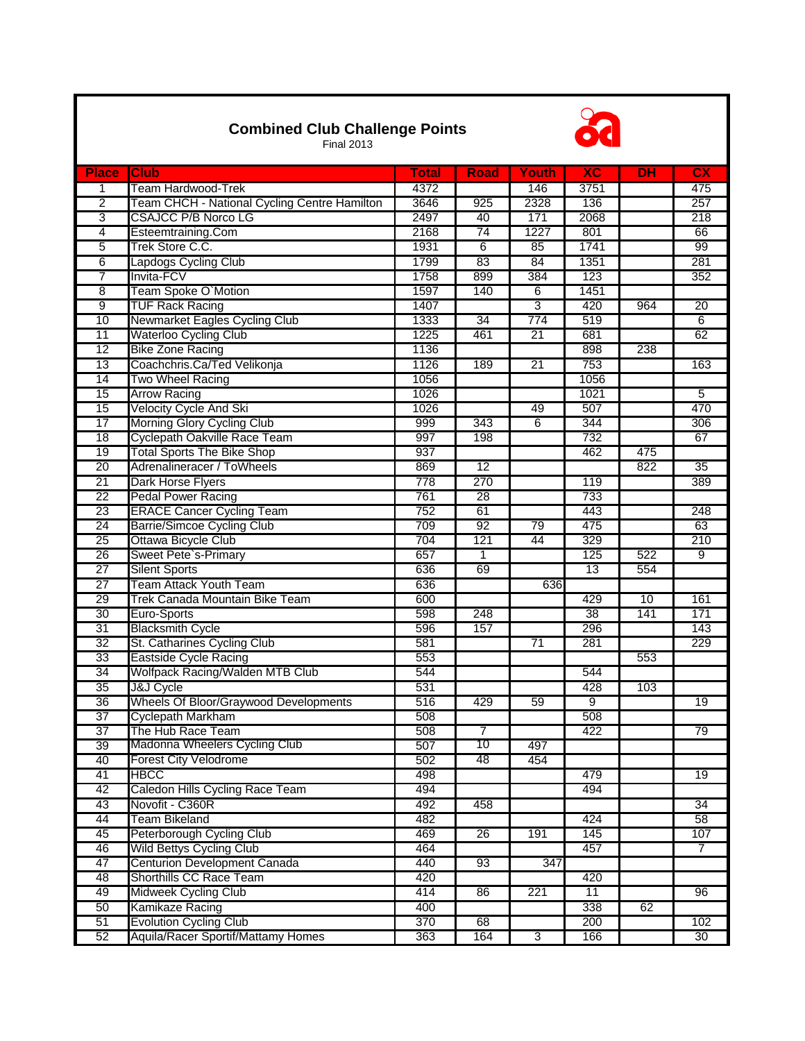| <b>Combined Club Challenge Points</b><br><b>Final 2013</b> |                                              |                  |                 |                 |                 |           |                        |  |  |
|------------------------------------------------------------|----------------------------------------------|------------------|-----------------|-----------------|-----------------|-----------|------------------------|--|--|
| <b>Place</b>                                               | <b>Club</b>                                  | <b>Total</b>     | <b>Road</b>     | Youth           | $\overline{AC}$ | <b>DH</b> | $\overline{\text{cx}}$ |  |  |
| 1                                                          | Team Hardwood-Trek                           | 4372             |                 | 146             | 3751            |           | 475                    |  |  |
| $\overline{2}$                                             | Team CHCH - National Cycling Centre Hamilton | 3646             | 925             | 2328            | 136             |           | 257                    |  |  |
| 3                                                          | <b>CSAJCC P/B Norco LG</b>                   | 2497             | 40              | 171             | 2068            |           | 218                    |  |  |
| 4                                                          | Esteemtraining.Com                           | 2168             | 74              | 1227            | 801             |           | 66                     |  |  |
| 5                                                          | Trek Store C.C.                              | 1931             | 6               | 85              | 1741            |           | 99                     |  |  |
| 6                                                          | Lapdogs Cycling Club                         | 1799             | 83              | 84              | 1351            |           | 281                    |  |  |
| 7                                                          | Invita-FCV                                   | 1758             | 899             | 384             | 123             |           | 352                    |  |  |
| $\overline{8}$                                             | Team Spoke O'Motion                          | 1597             | 140             | 6               | 1451            |           |                        |  |  |
| g                                                          | <b>TUF Rack Racing</b>                       | 1407             |                 | 3               | 420             | 964       | 20                     |  |  |
| 10                                                         | Newmarket Eagles Cycling Club                | 1333             | 34              | 774             | 519             |           | 6                      |  |  |
| 11                                                         | <b>Waterloo Cycling Club</b>                 | 1225             | 461             | 21              | 681             |           | 62                     |  |  |
| 12                                                         | <b>Bike Zone Racing</b>                      | 1136             |                 |                 | 898             | 238       |                        |  |  |
| 13                                                         | Coachchris.Ca/Ted Velikonja                  | 1126             | 189             | $\overline{21}$ | 753             |           | 163                    |  |  |
| 14                                                         | Two Wheel Racing                             | 1056             |                 |                 | 1056            |           |                        |  |  |
| 15                                                         | <b>Arrow Racing</b>                          | 1026             |                 |                 | 1021            |           | 5                      |  |  |
| 15                                                         | Velocity Cycle And Ski                       | 1026             |                 | 49              | 507             |           | 470                    |  |  |
| $\overline{17}$                                            | Morning Glory Cycling Club                   | 999              | 343             | 6               | 344             |           | 306                    |  |  |
| 18                                                         | Cyclepath Oakville Race Team                 | 997              | 198             |                 | 732             |           | 67                     |  |  |
| 19                                                         | <b>Total Sports The Bike Shop</b>            | 937              |                 |                 | 462             | 475       |                        |  |  |
| 20                                                         | Adrenalineracer / ToWheels                   | 869              | $\overline{12}$ |                 |                 | 822       | $\overline{35}$        |  |  |
| 21                                                         | Dark Horse Flyers                            | $\overline{778}$ | 270             |                 | 119             |           | 389                    |  |  |
| $\overline{22}$                                            | Pedal Power Racing                           | 761              | 28              |                 | 733             |           |                        |  |  |
| 23                                                         | <b>ERACE Cancer Cycling Team</b>             | 752              | 61              |                 | 443             |           | 248                    |  |  |
| 24                                                         | <b>Barrie/Simcoe Cycling Club</b>            | 709              | $\overline{92}$ | 79              | 475             |           | 63                     |  |  |
| 25                                                         | Ottawa Bicycle Club                          | 704              | 121             | 44              | 329             |           | 210                    |  |  |
| 26                                                         | Sweet Pete's-Primary                         | 657              | 1               |                 | 125             | 522       | $\overline{9}$         |  |  |
| 27                                                         | <b>Silent Sports</b>                         | 636              | 69              |                 | 13              | 554       |                        |  |  |
| 27                                                         | Team Attack Youth Team                       | 636              |                 | 636             |                 |           |                        |  |  |
| 29                                                         | Trek Canada Mountain Bike Team               | 600              |                 |                 | 429             | 10        | 161                    |  |  |
| 30                                                         | Euro-Sports                                  | 598              | 248             |                 | 38              | 141       | 171                    |  |  |
| 31                                                         | <b>Blacksmith Cycle</b>                      | 596              | 157             |                 | 296             |           | 143                    |  |  |
| $\overline{32}$                                            | St. Catharines Cycling Club                  | 581              |                 | $\overline{71}$ | 281             |           | 229                    |  |  |
| $\overline{33}$                                            | <b>Eastside Cycle Racing</b>                 | 553              |                 |                 |                 | 553       |                        |  |  |
| 34                                                         | Wolfpack Racing/Walden MTB Club              | 544              |                 |                 | 544             |           |                        |  |  |
| 35                                                         | J&J Cycle                                    | 531              |                 |                 | 428             | 103       |                        |  |  |
| 36                                                         | Wheels Of Bloor/Graywood Developments        | 516              | 429             | 59              | 9               |           | 19                     |  |  |
| $\overline{37}$                                            | Cyclepath Markham                            | 508              |                 |                 | 508             |           |                        |  |  |
| $\overline{37}$                                            | The Hub Race Team                            | 508              | $\overline{7}$  |                 | 422             |           | 79                     |  |  |
| 39                                                         | Madonna Wheelers Cycling Club                | 507              | 10              | 497             |                 |           |                        |  |  |
| 40                                                         | Forest City Velodrome                        | 502              | 48              | 454             |                 |           |                        |  |  |
| 41                                                         | <b>HBCC</b>                                  | 498              |                 |                 | 479             |           | $\overline{19}$        |  |  |
| 42                                                         | Caledon Hills Cycling Race Team              | 494              |                 |                 | 494             |           |                        |  |  |
| 43                                                         | Novofit - C360R                              | 492              | 458             |                 |                 |           | 34                     |  |  |
| 44                                                         | Team Bikeland                                | 482              |                 |                 | 424             |           | 58                     |  |  |
| 45                                                         | Peterborough Cycling Club                    | 469              | 26              | 191             | 145             |           | 107                    |  |  |
| 46                                                         | <b>Wild Bettys Cycling Club</b>              | 464              |                 |                 | 457             |           | $\overline{7}$         |  |  |
| 47                                                         | Centurion Development Canada                 | 440              | 93              | 347             |                 |           |                        |  |  |
| 48                                                         | Shorthills CC Race Team                      | 420              |                 |                 | 420             |           |                        |  |  |
| 49                                                         | Midweek Cycling Club                         | 414              | 86              | 221             | 11              |           | $\overline{96}$        |  |  |
| 50                                                         | Kamikaze Racing                              | 400              |                 |                 | 338             | 62        |                        |  |  |
| 51                                                         | <b>Evolution Cycling Club</b>                | 370              | 68              |                 | 200             |           | 102                    |  |  |
| 52                                                         | Aquila/Racer Sportif/Mattamy Homes           | 363              | 164             | 3               | 166             |           | 30                     |  |  |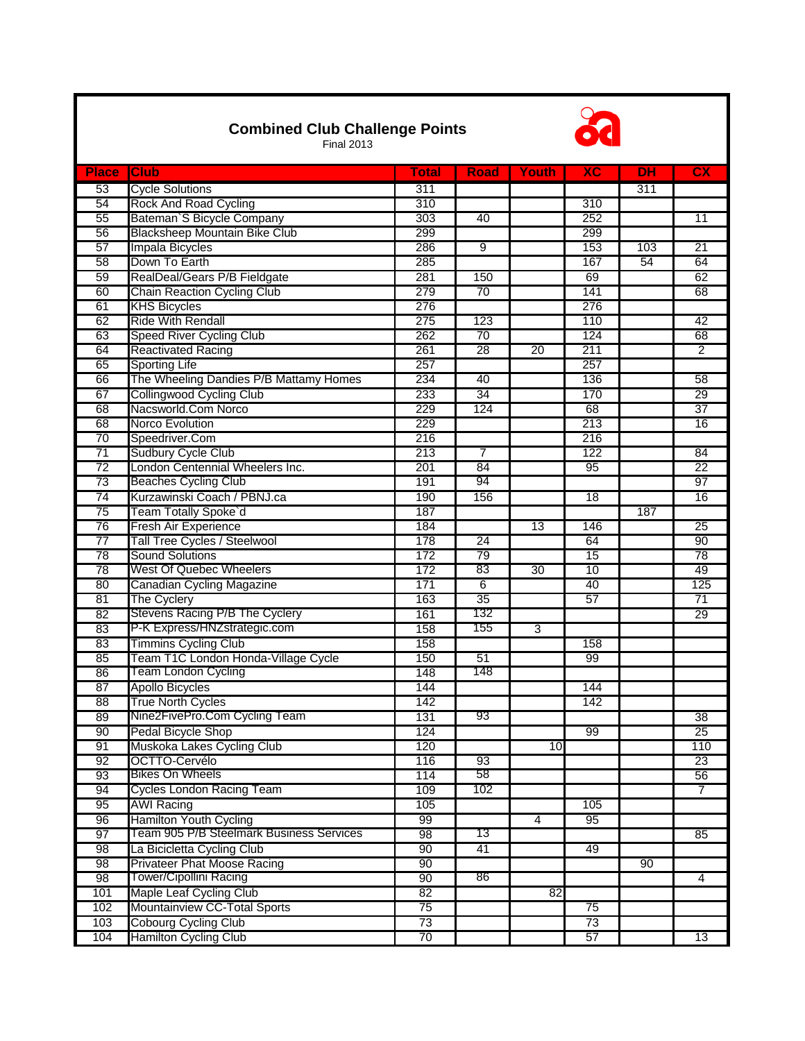## **Combined Club Challenge Points**



104 Hamilton Cycling Club 13

Final 2013